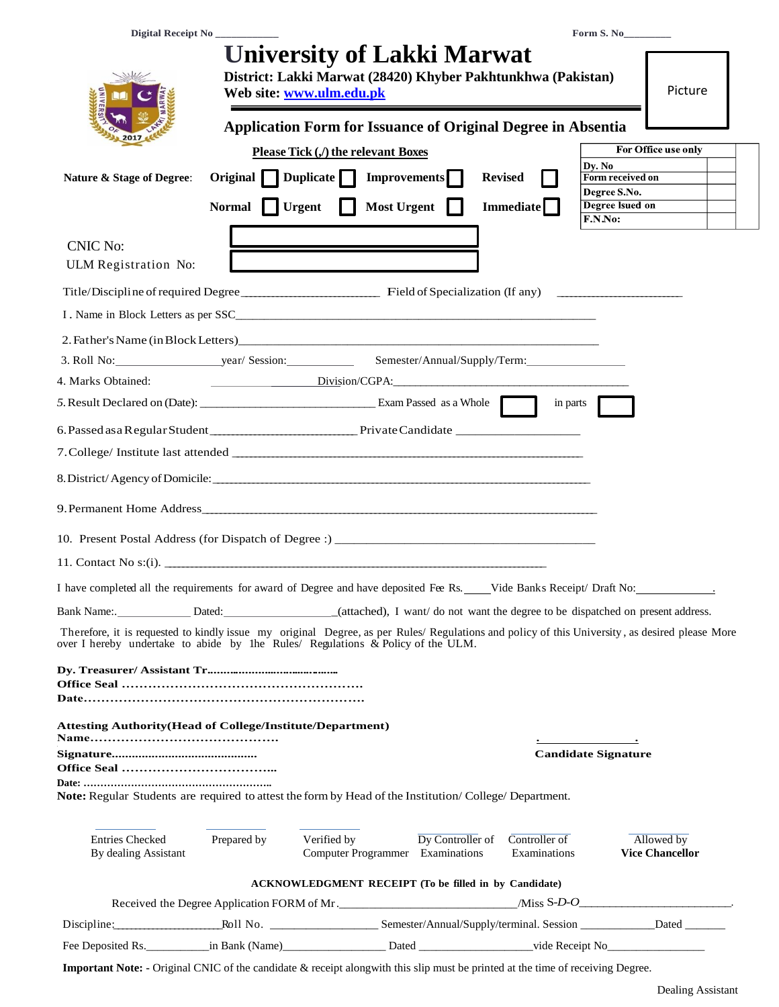|                                                                                                                                                                                                                                   |                               |                                                                                                                               |                  |                               | Form S. No                                 |                                      |
|-----------------------------------------------------------------------------------------------------------------------------------------------------------------------------------------------------------------------------------|-------------------------------|-------------------------------------------------------------------------------------------------------------------------------|------------------|-------------------------------|--------------------------------------------|--------------------------------------|
|                                                                                                                                                                                                                                   |                               | <b>University of Lakki Marwat</b><br>District: Lakki Marwat (28420) Khyber Pakhtunkhwa (Pakistan)<br>Web site: www.ulm.edu.pk |                  |                               |                                            | Picture                              |
|                                                                                                                                                                                                                                   |                               | <b>Application Form for Issuance of Original Degree in Absentia</b>                                                           |                  |                               |                                            |                                      |
|                                                                                                                                                                                                                                   |                               | Please Tick (,/) the relevant Boxes                                                                                           |                  |                               |                                            | For Office use only                  |
| Nature & Stage of Degree:                                                                                                                                                                                                         |                               | Original $\Box$ Duplicate $\Box$ Improvements $\Box$                                                                          |                  | <b>Revised</b>                | Dy. No<br>Form received on<br>Degree S.No. |                                      |
|                                                                                                                                                                                                                                   | Normal                        | <b>Most Urgent</b><br><b>Urgent</b>                                                                                           |                  | <b>Immediate</b>              | Degree Isued on<br>F.N.No:                 |                                      |
| <b>CNIC No:</b><br>ULM Registration No:                                                                                                                                                                                           |                               |                                                                                                                               |                  |                               |                                            |                                      |
|                                                                                                                                                                                                                                   |                               |                                                                                                                               |                  |                               |                                            |                                      |
|                                                                                                                                                                                                                                   |                               |                                                                                                                               |                  |                               |                                            |                                      |
| 2. Father's Name (in Block Letters)                                                                                                                                                                                               |                               |                                                                                                                               |                  |                               |                                            |                                      |
|                                                                                                                                                                                                                                   |                               |                                                                                                                               |                  |                               |                                            |                                      |
| 4. Marks Obtained:                                                                                                                                                                                                                | Division/CGPA: Division/CGPA: |                                                                                                                               |                  |                               |                                            |                                      |
| 5. Result Declared on (Date): Exam Passed as a Whole                                                                                                                                                                              |                               |                                                                                                                               |                  | in parts                      |                                            |                                      |
|                                                                                                                                                                                                                                   |                               |                                                                                                                               |                  |                               |                                            |                                      |
|                                                                                                                                                                                                                                   |                               |                                                                                                                               |                  |                               |                                            |                                      |
|                                                                                                                                                                                                                                   |                               |                                                                                                                               |                  |                               |                                            |                                      |
|                                                                                                                                                                                                                                   |                               |                                                                                                                               |                  |                               |                                            |                                      |
| 11. Contact No $s:(i)$ .                                                                                                                                                                                                          |                               |                                                                                                                               |                  |                               |                                            |                                      |
| I have completed all the requirements for award of Degree and have deposited Fee Rs. ___Vide Banks Receipt/ Draft No:                                                                                                             |                               |                                                                                                                               |                  |                               |                                            |                                      |
| Bank Name: Dated: Dated: Dated: (attached), I want/do not want the degree to be dispatched on present address.                                                                                                                    |                               |                                                                                                                               |                  |                               |                                            |                                      |
| Therefore, it is requested to kindly issue my original Degree, as per Rules/ Regulations and policy of this University, as desired please More<br>over I hereby undertake to abide by lhe Rules/ Regulations & Policy of the ULM. |                               |                                                                                                                               |                  |                               |                                            |                                      |
|                                                                                                                                                                                                                                   |                               |                                                                                                                               |                  |                               |                                            |                                      |
|                                                                                                                                                                                                                                   |                               |                                                                                                                               |                  |                               |                                            |                                      |
| <b>Attesting Authority (Head of College/Institute/Department)</b>                                                                                                                                                                 |                               |                                                                                                                               |                  |                               |                                            |                                      |
|                                                                                                                                                                                                                                   |                               |                                                                                                                               |                  |                               | <b>Candidate Signature</b>                 |                                      |
| Note: Regular Students are required to attest the form by Head of the Institution/College/Department.                                                                                                                             |                               |                                                                                                                               |                  |                               |                                            |                                      |
| <b>Entries Checked</b><br>By dealing Assistant                                                                                                                                                                                    | Prepared by                   | Verified by<br>Computer Programmer Examinations                                                                               | Dy Controller of | Controller of<br>Examinations |                                            | Allowed by<br><b>Vice Chancellor</b> |
|                                                                                                                                                                                                                                   |                               | <b>ACKNOWLEDGMENT RECEIPT (To be filled in by Candidate)</b>                                                                  |                  |                               |                                            |                                      |
|                                                                                                                                                                                                                                   |                               |                                                                                                                               |                  |                               |                                            |                                      |
|                                                                                                                                                                                                                                   |                               |                                                                                                                               |                  |                               |                                            |                                      |

**Important Note: -** Original CNIC of the candidate & receipt alongwith this slip must be printed at the time of receiving Degree.